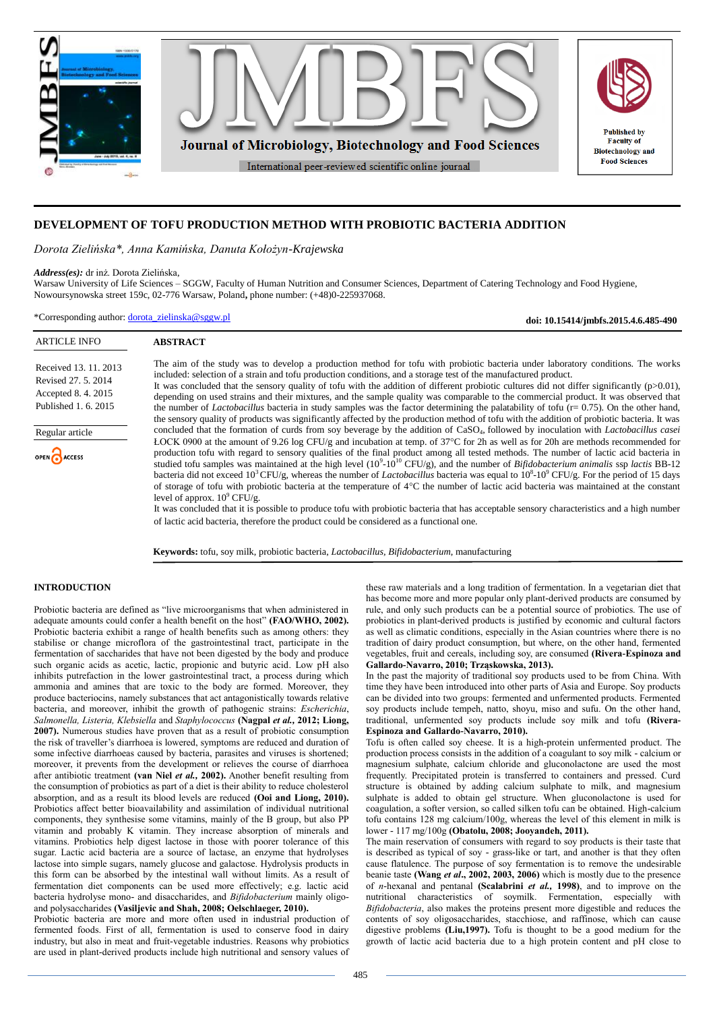

# **DEVELOPMENT OF TOFU PRODUCTION METHOD WITH PROBIOTIC BACTERIA ADDITION**

*Dorota Zielińska\*, Anna Kamińska, Danuta Kołożyn-Krajewska*

## *Address(es):* dr inż. Dorota Zielińska,

Warsaw University of Life Sciences – SGGW, Faculty of Human Nutrition and Consumer Sciences, Department of Catering Technology and Food Hygiene, Nowoursynowska street 159c, 02-776 Warsaw, Poland**,** phone number: (+48)0-225937068.

\*Corresponding author: [dorota\\_zielinska@sggw.pl](mailto:dorota_zielinska@sggw.pl)

**doi: 10.15414/jmbfs.2015.4.6.485-490**

| <b>ARTICLE INFO</b>                                                                                                         | <b>ABSTRACT</b>                                                                                                                                                                                                                                                                                                                                                                                                                                                                                                                                                                                                                                                                                                                                                                                                                                                                                                                                                                                                                                                                                                                                                                                                                                                                                                                                                                                                                                                                                                                                                                                                                                                                                                                                                                                                                                                                                                                                                                                                                                |
|-----------------------------------------------------------------------------------------------------------------------------|------------------------------------------------------------------------------------------------------------------------------------------------------------------------------------------------------------------------------------------------------------------------------------------------------------------------------------------------------------------------------------------------------------------------------------------------------------------------------------------------------------------------------------------------------------------------------------------------------------------------------------------------------------------------------------------------------------------------------------------------------------------------------------------------------------------------------------------------------------------------------------------------------------------------------------------------------------------------------------------------------------------------------------------------------------------------------------------------------------------------------------------------------------------------------------------------------------------------------------------------------------------------------------------------------------------------------------------------------------------------------------------------------------------------------------------------------------------------------------------------------------------------------------------------------------------------------------------------------------------------------------------------------------------------------------------------------------------------------------------------------------------------------------------------------------------------------------------------------------------------------------------------------------------------------------------------------------------------------------------------------------------------------------------------|
| Received 13, 11, 2013<br>Revised 27, 5, 2014<br>Accepted 8.4.2015<br>Published 1, 6, 2015<br>Regular article<br>OPEN ACCESS | The aim of the study was to develop a production method for tofu with probiotic bacteria under laboratory conditions. The works<br>included: selection of a strain and tofu production conditions, and a storage test of the manufactured product.<br>It was concluded that the sensory quality of tofu with the addition of different probiotic cultures did not differ significantly ( $p>0.01$ ),<br>depending on used strains and their mixtures, and the sample quality was comparable to the commercial product. It was observed that<br>the number of <i>Lactobacillus</i> bacteria in study samples was the factor determining the palatability of tofu ( $r = 0.75$ ). On the other hand,<br>the sensory quality of products was significantly affected by the production method of tofu with the addition of probiotic bacteria. It was<br>concluded that the formation of curds from soy beverage by the addition of CaSO <sub>4</sub> , followed by inoculation with Lactobacillus casei<br>ŁOCK 0900 at the amount of 9.26 log CFU/g and incubation at temp. of 37°C for 2h as well as for 20h are methods recommended for<br>production tofu with regard to sensory qualities of the final product among all tested methods. The number of lactic acid bacteria in<br>studied tofu samples was maintained at the high level $(10^9 \text{-} 10^{10} \text{ CFU/g})$ , and the number of <i>Bifidobacterium animalis</i> ssp <i>lactis</i> BB-12<br>bacteria did not exceed $10^3$ CFU/g, whereas the number of <i>Lactobacillus</i> bacteria was equal to $10^8$ - $10^9$ CFU/g. For the period of 15 days<br>of storage of tofu with probiotic bacteria at the temperature of 4°C the number of lactic acid bacteria was maintained at the constant<br>level of approx. $10^9$ CFU/g.<br>It was concluded that it is possible to produce to fu with probiotic bacteria that has acceptable sensory characteristics and a high number<br>of lactic acid bacteria, therefore the product could be considered as a functional one. |
|                                                                                                                             |                                                                                                                                                                                                                                                                                                                                                                                                                                                                                                                                                                                                                                                                                                                                                                                                                                                                                                                                                                                                                                                                                                                                                                                                                                                                                                                                                                                                                                                                                                                                                                                                                                                                                                                                                                                                                                                                                                                                                                                                                                                |

**Keywords:** tofu, soy milk, probiotic bacteria, *Lactobacillus, Bifidobacterium*, manufacturing

# **INTRODUCTION**

Probiotic bacteria are defined as "live microorganisms that when administered in adequate amounts could confer a health benefit on the host" **(FAO/WHO, 2002).** Probiotic bacteria exhibit a range of health benefits such as among others: they stabilise or change microflora of the gastrointestinal tract, participate in the fermentation of saccharides that have not been digested by the body and produce such organic acids as acetic, lactic, propionic and butyric acid. Low pH also inhibits putrefaction in the lower gastrointestinal tract, a process during which ammonia and amines that are toxic to the body are formed. Moreover, they produce bacteriocins, namely substances that act antagonistically towards relative bacteria, and moreover, inhibit the growth of pathogenic strains: *Escherichia*, *Salmonella, Listeria, Klebsiella* and *Staphylococcus* **(Nagpal** *et al.,* **2012; Liong, 2007).** Numerous studies have proven that as a result of probiotic consumption the risk of traveller's diarrhoea is lowered, symptoms are reduced and duration of some infective diarrhoeas caused by bacteria, parasites and viruses is shortened; moreover, it prevents from the development or relieves the course of diarrhoea after antibiotic treatment **(van Niel** *et al.,* **2002).** Another benefit resulting from the consumption of probiotics as part of a diet is their ability to reduce cholesterol absorption, and as a result its blood levels are reduced **(Ooi and Liong, 2010).**  Probiotics affect better bioavailability and assimilation of individual nutritional components, they synthesise some vitamins, mainly of the B group, but also PP vitamin and probably K vitamin. They increase absorption of minerals and vitamins. Probiotics help digest lactose in those with poorer tolerance of this sugar. Lactic acid bacteria are a source of lactase, an enzyme that hydrolyses lactose into simple sugars, namely glucose and galactose. Hydrolysis products in this form can be absorbed by the intestinal wall without limits. As a result of fermentation diet components can be used more effectively; e.g. lactic acid bacteria hydrolyse mono- and disaccharides, and *Bifidobacterium* mainly oligoand polysaccharides **(Vasiljevic and Shah, 2008; Oelschlaeger, 2010).**

Probiotic bacteria are more and more often used in industrial production of fermented foods. First of all, fermentation is used to conserve food in dairy industry, but also in meat and fruit-vegetable industries. Reasons why probiotics are used in plant-derived products include high nutritional and sensory values of

these raw materials and a long tradition of fermentation. In a vegetarian diet that has become more and more popular only plant-derived products are consumed by rule, and only such products can be a potential source of probiotics. The use of probiotics in plant-derived products is justified by economic and cultural factors as well as climatic conditions, especially in the Asian countries where there is no tradition of dairy product consumption, but where, on the other hand, fermented vegetables, fruit and cereals, including soy, are consumed **(Rivera-Espinoza and Gallardo-Navarro, 2010; Trząskowska, 2013).**

In the past the majority of traditional soy products used to be from China. With time they have been introduced into other parts of Asia and Europe. Soy products can be divided into two groups: fermented and unfermented products. Fermented soy products include tempeh, natto, shoyu, miso and sufu. On the other hand, traditional, unfermented soy products include soy milk and tofu **(Rivera-Espinoza and Gallardo-Navarro, 2010).**

Tofu is often called soy cheese. It is a high-protein unfermented product. The production process consists in the addition of a coagulant to soy milk - calcium or magnesium sulphate, calcium chloride and gluconolactone are used the most frequently. Precipitated protein is transferred to containers and pressed. Curd structure is obtained by adding calcium sulphate to milk, and magnesium sulphate is added to obtain gel structure. When gluconolactone is used for coagulation, a softer version, so called silken tofu can be obtained. High-calcium tofu contains 128 mg calcium/100g, whereas the level of this element in milk is lower - 117 mg/100g **(Obatolu, 2008; Jooyandeh, 2011).**

The main reservation of consumers with regard to soy products is their taste that is described as typical of soy - grass-like or tart, and another is that they often cause flatulence. The purpose of soy fermentation is to remove the undesirable beanie taste **(Wang** *et al***., 2002, 2003, 2006)** which is mostly due to the presence of *n*-hexanal and pentanal **(Scalabrini** *et al.,* **1998)**, and to improve on the nutritional characteristics of soymilk. Fermentation, especially with *Bifidobacteria*, also makes the proteins present more digestible and reduces the contents of soy oligosaccharides, stacchiose, and raffinose, which can cause digestive problems **(Liu,1997).** Tofu is thought to be a good medium for the growth of lactic acid bacteria due to a high protein content and pH close to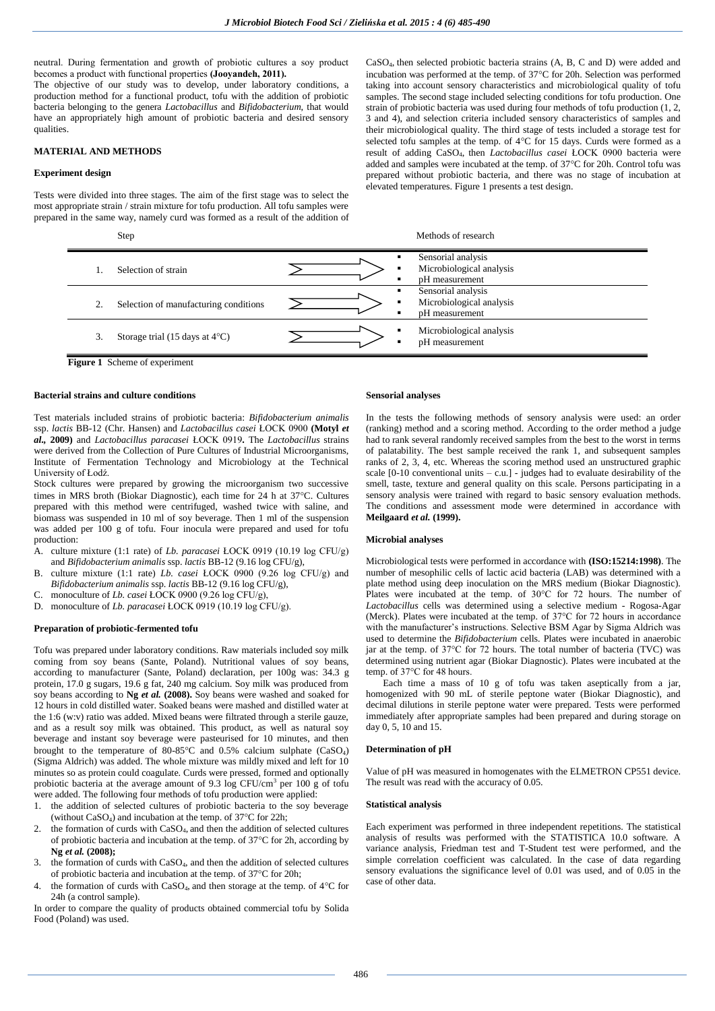neutral. During fermentation and growth of probiotic cultures a soy product becomes a product with functional properties **(Jooyandeh, 2011).**

The objective of our study was to develop, under laboratory conditions, a production method for a functional product, tofu with the addition of probiotic bacteria belonging to the genera *Lactobacillus* and *Bifidobacterium*, that would have an appropriately high amount of probiotic bacteria and desired sensory qualities.

# **MATERIAL AND METHODS**

### **Experiment design**

Tests were divided into three stages. The aim of the first stage was to select the most appropriate strain / strain mixture for tofu production. All tofu samples were prepared in the same way, namely curd was formed as a result of the addition of

CaSO4, then selected probiotic bacteria strains (A, B, C and D) were added and incubation was performed at the temp. of  $37^{\circ}$ C for 20h. Selection was performed taking into account sensory characteristics and microbiological quality of tofu samples. The second stage included selecting conditions for tofu production. One strain of probiotic bacteria was used during four methods of tofu production (1, 2, 3 and 4), and selection criteria included sensory characteristics of samples and their microbiological quality. The third stage of tests included a storage test for selected tofu samples at the temp. of  $4^{\circ}$ C for 15 days. Curds were formed as a result of adding CaSO4, then *Lactobacillus casei* ŁOCK 0900 bacteria were added and samples were incubated at the temp. of 37°C for 20h. Control tofu was prepared without probiotic bacteria, and there was no stage of incubation at elevated temperatures. Figure 1 presents a test design.

#### Step Methods of research

|    | Selection of strain                      | Sensorial analysis<br>Microbiological analysis<br>pH measurement<br>$\blacksquare$                   |
|----|------------------------------------------|------------------------------------------------------------------------------------------------------|
|    | Selection of manufacturing conditions    | Sensorial analysis<br>$\blacksquare$<br>Microbiological analysis<br>pH measurement<br>$\blacksquare$ |
| 3. | Storage trial (15 days at $4^{\circ}$ C) | Microbiological analysis<br>٠<br>pH measurement<br>$\blacksquare$                                    |

**Figure 1** Scheme of experiment

# **Bacterial strains and culture conditions**

Test materials included strains of probiotic bacteria: *Bifidobacterium animalis*  ssp. *lactis* BB-12 (Chr. Hansen) and *Lactobacillus casei* ŁOCK 0900 **(Motyl** *et al.,* **2009)** and *Lactobacillus paracasei* ŁOCK 0919**.** The *Lactobacillus* strains were derived from the Collection of Pure Cultures of Industrial Microorganisms, Institute of Fermentation Technology and Microbiology at the Technical University of Łodź.

Stock cultures were prepared by growing the microorganism two successive times in MRS broth (Biokar Diagnostic), each time for 24 h at 37°C. Cultures prepared with this method were centrifuged, washed twice with saline, and biomass was suspended in 10 ml of soy beverage. Then 1 ml of the suspension was added per 100 g of tofu. Four inocula were prepared and used for tofu production:

- A. culture mixture (1:1 rate) of *Lb. paracasei* ŁOCK 0919 (10.19 log CFU/g) and *Bifidobacterium animalis* ssp. *lactis* BB-12 (9.16 log CFU/g),
- B. culture mixture (1:1 rate) *Lb. casei* ŁOCK 0900 (9.26 log CFU/g) and *Bifidobacterium animalis* ssp. *lactis* BB-12 (9.16 log CFU/g),
- C. monoculture of *Lb. casei* ŁOCK 0900 (9.26 log CFU/g),
- D. monoculture of *Lb. paracasei* ŁOCK 0919 (10.19 log CFU/g).

# **Preparation of probiotic-fermented tofu**

Tofu was prepared under laboratory conditions. Raw materials included soy milk coming from soy beans (Sante, Poland). Nutritional values of soy beans, according to manufacturer (Sante, Poland) declaration, per 100g was: 34.3 g protein, 17.0 g sugars, 19.6 g fat, 240 mg calcium. Soy milk was produced from soy beans according to **Ng** *et al.* **(2008).** Soy beans were washed and soaked for 12 hours in cold distilled water. Soaked beans were mashed and distilled water at the 1:6 (w:v) ratio was added. Mixed beans were filtrated through a sterile gauze, and as a result soy milk was obtained. This product, as well as natural soy beverage and instant soy beverage were pasteurised for 10 minutes, and then brought to the temperature of  $80-85^{\circ}\text{C}$  and  $0.5\%$  calcium sulphate (CaSO<sub>4</sub>) (Sigma Aldrich) was added. The whole mixture was mildly mixed and left for 10 minutes so as protein could coagulate. Curds were pressed, formed and optionally probiotic bacteria at the average amount of 9.3 log CFU/cm<sup>3</sup> per 100 g of tofu were added. The following four methods of tofu production were applied:

- 1. the addition of selected cultures of probiotic bacteria to the soy beverage (without  $CaSO_4$ ) and incubation at the temp. of 37 $\degree$ C for 22h;
- 2. the formation of curds with  $CaSO<sub>4</sub>$ , and then the addition of selected cultures of probiotic bacteria and incubation at the temp. of  $37^{\circ}$ C for 2h, according by **Ng** *et al.* **(2008);**
- 3. the formation of curds with CaSO4, and then the addition of selected cultures of probiotic bacteria and incubation at the temp. of 37°C for 20h;
- the formation of curds with CaSO<sub>4</sub>, and then storage at the temp. of  $4^{\circ}$ C for 24h (a control sample).

In order to compare the quality of products obtained commercial tofu by Solida Food (Poland) was used.

#### **Sensorial analyses**

In the tests the following methods of sensory analysis were used: an order (ranking) method and a scoring method. According to the order method a judge had to rank several randomly received samples from the best to the worst in terms of palatability. The best sample received the rank 1, and subsequent samples ranks of 2, 3, 4, etc. Whereas the scoring method used an unstructured graphic scale  $[0-10$  conventional units  $- c.u.$ ] - judges had to evaluate desirability of the smell, taste, texture and general quality on this scale. Persons participating in a sensory analysis were trained with regard to basic sensory evaluation methods. The conditions and assessment mode were determined in accordance with **Meilgaard** *et al.* **(1999).**

#### **Microbial analyses**

Microbiological tests were performed in accordance with **(ISO:15214:1998)**. The number of mesophilic cells of lactic acid bacteria (LAB) was determined with a plate method using deep inoculation on the MRS medium (Biokar Diagnostic). Plates were incubated at the temp. of 30°C for 72 hours. The number of *Lactobacillus* cells was determined using a selective medium - Rogosa-Agar (Merck). Plates were incubated at the temp. of 37°C for 72 hours in accordance with the manufacturer's instructions. Selective BSM Agar by Sigma Aldrich was used to determine the *Bifidobacterium* cells. Plates were incubated in anaerobic jar at the temp. of 37°C for 72 hours. The total number of bacteria (TVC) was determined using nutrient agar (Biokar Diagnostic). Plates were incubated at the temp. of 37°C for 48 hours.

Each time a mass of 10 g of tofu was taken aseptically from a jar, homogenized with 90 mL of sterile peptone water (Biokar Diagnostic), and decimal dilutions in sterile peptone water were prepared. Tests were performed immediately after appropriate samples had been prepared and during storage on day 0, 5, 10 and 15.

## **Determination of pH**

Value of pH was measured in homogenates with the ELMETRON CP551 device. The result was read with the accuracy of 0.05.

### **Statistical analysis**

Each experiment was performed in three independent repetitions. The statistical analysis of results was performed with the STATISTICA 10.0 software. A variance analysis, Friedman test and T-Student test were performed, and the simple correlation coefficient was calculated. In the case of data regarding sensory evaluations the significance level of 0.01 was used, and of 0.05 in the case of other data.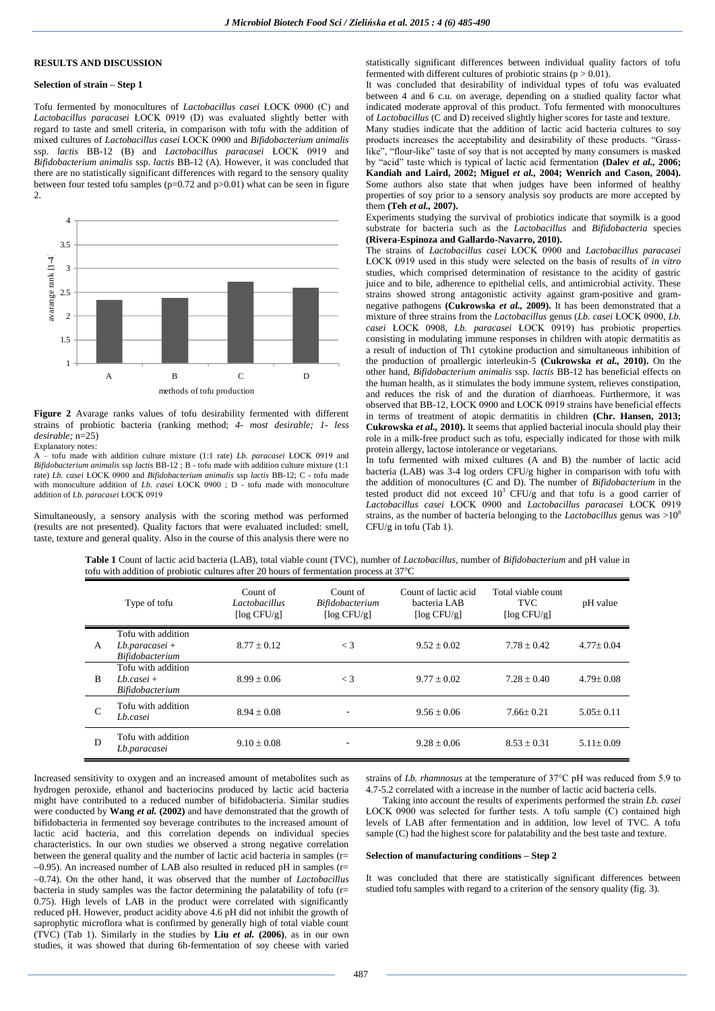# **RESULTS AND DISCUSSION**

# **Selection of strain – Step 1**

Tofu fermented by monocultures of *Lactobacillus casei* ŁOCK 0900 (C) and *Lactobacillus paracasei* ŁOCK 0919 (D) was evaluated slightly better with regard to taste and smell criteria, in comparison with tofu with the addition of mixed cultures of *Lactobacillus casei* ŁOCK 0900 and *Bifidobacterium animalis*  ssp. *lactis* BB-12 (B) and *Lactobacillus paracasei* ŁOCK 0919 and *Bifidobacterium animalis* ssp. *lactis* BB-12 (A). However, it was concluded that there are no statistically significant differences with regard to the sensory quality between four tested tofu samples  $(p=0.72$  and  $p>0.01$ ) what can be seen in figure  $\mathcal{L}$ 



**Figure 2** Avarage ranks values of tofu desirability fermented with different strains of probiotic bacteria (ranking method; *4- most desirable; 1- less desirable;* n=25)

Explanatory notes:

A – tofu made with addition culture mixture (1:1 rate) *Lb. paracasei* ŁOCK 0919 and *Bifidobacterium animalis* ssp *lactis* BB-12 ; B - tofu made with addition culture mixture (1:1 rate) *Lb. casei* ŁOCK 0900 and *Bifidobacterium animalis* ssp *lactis* BB-12; C - tofu made with monoculture addition of *Lb. casei* ŁOCK 0900 ; D - tofu made with monoculture addition of *Lb. paracasei* ŁOCK 0919

Simultaneously, a sensory analysis with the scoring method was performed (results are not presented). Quality factors that were evaluated included: smell, taste, texture and general quality. Also in the course of this analysis there were no statistically significant differences between individual quality factors of tofu fermented with different cultures of probiotic strains ( $p > 0.01$ ).

It was concluded that desirability of individual types of tofu was evaluated between 4 and 6 c.u. on average, depending on a studied quality factor what indicated moderate approval of this product. Tofu fermented with monocultures of *Lactobacillus* (C and D) received slightly higher scores for taste and texture.

Many studies indicate that the addition of lactic acid bacteria cultures to soy products increases the acceptability and desirability of these products. "Grasslike", "flour-like" taste of soy that is not accepted by many consumers is masked by "acid" taste which is typical of lactic acid fermentation **(Dalev** *et al.,* **2006; Kandiah and Laird, 2002; Miguel** *et al.,* **2004; Wenrich and Cason, 2004).** Some authors also state that when judges have been informed of healthy properties of soy prior to a sensory analysis soy products are more accepted by them **(Teh** *et al.,* **2007).**

Experiments studying the survival of probiotics indicate that soymilk is a good substrate for bacteria such as the *Lactobacillus* and *Bifidobacteria* species **(Rivera-Espinoza and Gallardo-Navarro, 2010).**

The strains of *Lactobacillus casei* ŁOCK 0900 and *Lactobacillus paracasei* ŁOCK 0919 used in this study were selected on the basis of results of *in vitro* studies, which comprised determination of resistance to the acidity of gastric juice and to bile, adherence to epithelial cells, and antimicrobial activity. These strains showed strong antagonistic activity against gram-positive and gramnegative pathogens **(Cukrowska** *et al.,* **2009).** It has been demonstrated that a mixture of three strains from the *Lactobacillus* genus (*Lb. casei* ŁOCK 0900, *Lb. casei* ŁOCK 0908, *Lb. paracasei* ŁOCK 0919) has probiotic properties consisting in modulating immune responses in children with atopic dermatitis as a result of induction of Th1 cytokine production and simultaneous inhibition of the production of proallergic interleukin-5 **(Cukrowska** *et al.,* **2010).** On the other hand, *Bifidobacterium animalis* ssp*. lactis* BB-12 has beneficial effects on the human health, as it stimulates the body immune system, relieves constipation, and reduces the risk of and the duration of diarrhoeas. Furthermore, it was observed that BB-12, ŁOCK 0900 and ŁOCK 0919 strains have beneficial effects in terms of treatment of atopic dermatitis in children **(Chr. Hansen, 2013; Cukrowska** *et al.,* **2010).** It seems that applied bacterial inocula should play their role in a milk-free product such as tofu, especially indicated for those with milk protein allergy, lactose intolerance or vegetarians.

In tofu fermented with mixed cultures (A and B) the number of lactic acid bacteria (LAB) was 3-4 log orders CFU/g higher in comparison with tofu with the addition of monocultures (C and D). The number of *Bifidobacterium* in the tested product did not exceed  $10^3$  CFU/g and that tofu is a good carrier of *Lactobacillus casei* ŁOCK 0900 and *Lactobacillus paracasei* ŁOCK 0919 strains, as the number of bacteria belonging to the *Lactobacillus* genus was >10<sup>8</sup> CFU/g in tofu (Tab 1).

**Table 1** Count of lactic acid bacteria (LAB), total viable count (TVC), number of *Lactobacillus,* number of *Bifidobacterium* and pH value in tofu with addition of probiotic cultures after 20 hours of fermentation process at 37°C

|              | Type of tofu                                               | Count of<br>Lactobacillus<br>$\lceil \log CFU/g \rceil$ | Count of<br>Bifidobacterium<br>$\lceil \log CFU/g \rceil$ | Count of lactic acid<br>bacteria LAB<br>$\lceil \log CFU/g \rceil$ | Total viable count<br><b>TVC</b><br>$\lceil \log CFU/g \rceil$ | pH value        |
|--------------|------------------------------------------------------------|---------------------------------------------------------|-----------------------------------------------------------|--------------------------------------------------------------------|----------------------------------------------------------------|-----------------|
| A            | Tofu with addition<br>$Lb$ .paracasei +<br>Bifidobacterium | $8.77 + 0.12$                                           | $\lt$ 3                                                   | $9.52 \pm 0.02$                                                    | $7.78 \pm 0.42$                                                | $4.77 \pm 0.04$ |
| <sub>R</sub> | Tofu with addition<br>$Ib.casei +$<br>Bifidobacterium      | $8.99 \pm 0.06$                                         | $\lt$ 3                                                   | $9.77 \pm 0.02$                                                    | $7.28 \pm 0.40$                                                | $4.79 \pm 0.08$ |
| C            | Tofu with addition<br>Lb.casei                             | $8.94 + 0.08$                                           | ٠                                                         | $9.56 \pm 0.06$                                                    | $7.66 + 0.21$                                                  | $5.05+0.11$     |
| D            | Tofu with addition<br>Lb.paracasei                         | $9.10 \pm 0.08$                                         |                                                           | $9.28 \pm 0.06$                                                    | $8.53 \pm 0.31$                                                | $5.11 \pm 0.09$ |

Increased sensitivity to oxygen and an increased amount of metabolites such as hydrogen peroxide, ethanol and bacteriocins produced by lactic acid bacteria might have contributed to a reduced number of bifidobacteria. Similar studies were conducted by **Wang** *et al.* **(2002)** and have demonstrated that the growth of bifidobacteria in fermented soy beverage contributes to the increased amount of lactic acid bacteria, and this correlation depends on individual species characteristics. In our own studies we observed a strong negative correlation between the general quality and the number of lactic acid bacteria in samples (r=  $-0.95$ ). An increased number of LAB also resulted in reduced pH in samples (r= 0.74). On the other hand, it was observed that the number of *Lactobacillus* bacteria in study samples was the factor determining the palatability of tofu (r= 0.75). High levels of LAB in the product were correlated with significantly reduced pH. However, product acidity above 4.6 pH did not inhibit the growth of saprophytic microflora what is confirmed by generally high of total viable count (TVC) (Tab 1). Similarly in the studies by **Liu** *et al.* **(2006)**, as in our own studies, it was showed that during 6h-fermentation of soy cheese with varied

strains of *Lb. rhamnosus* at the temperature of 37°C pH was reduced from 5.9 to 4.7-5.2 correlated with a increase in the number of lactic acid bacteria cells.

Taking into account the results of experiments performed the strain *Lb. casei* ŁOCK 0900 was selected for further tests. A tofu sample (C) contained high levels of LAB after fermentation and in addition, low level of TVC. A tofu sample (C) had the highest score for palatability and the best taste and texture.

# **Selection of manufacturing conditions – Step 2**

It was concluded that there are statistically significant differences between studied tofu samples with regard to a criterion of the sensory quality (fig. 3).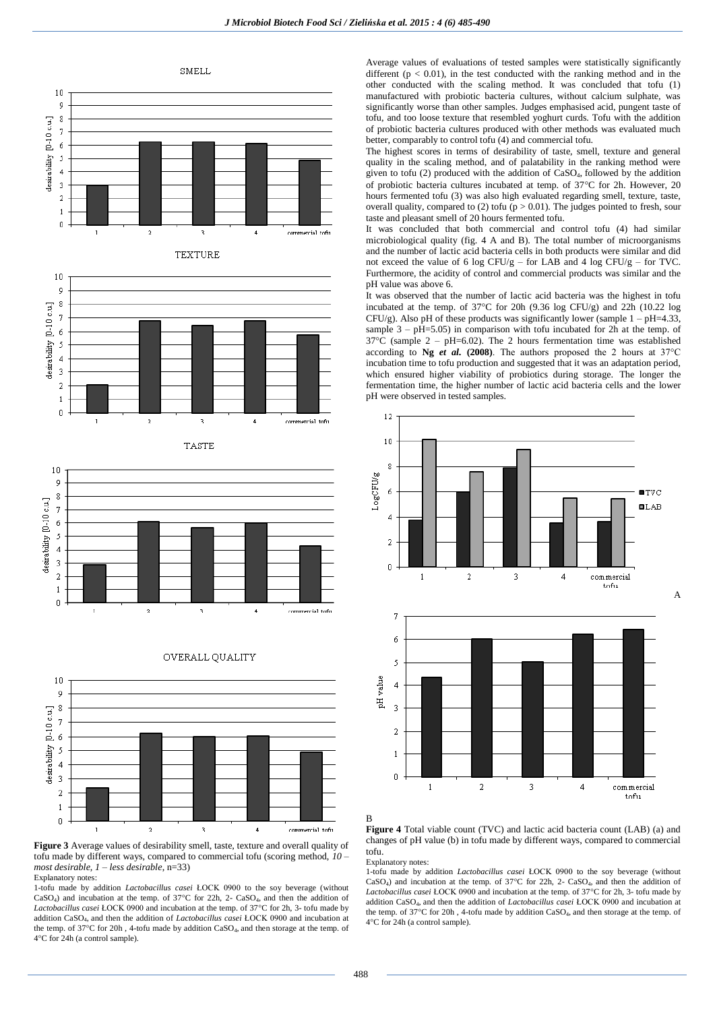

**TEXTURE** 











1-tofu made by addition *Lactobacillus casei* ŁOCK 0900 to the soy beverage (without CaSO<sub>4</sub>) and incubation at the temp. of 37 $^{\circ}$ C for 22h, 2- CaSO<sub>4</sub>, and then the addition of Lactobacillus casei ŁOCK 0900 and incubation at the temp. of 37°C for 2h, 3- tofu made by addition CaSO4, and then the addition of *Lactobacillus casei* ŁOCK 0900 and incubation at the temp. of 37°C for 20h, 4-tofu made by addition CaSO<sub>4</sub>, and then storage at the temp. of 4C for 24h (a control sample).

Average values of evaluations of tested samples were statistically significantly different ( $p < 0.01$ ), in the test conducted with the ranking method and in the other conducted with the scaling method. It was concluded that tofu (1) manufactured with probiotic bacteria cultures, without calcium sulphate, was significantly worse than other samples. Judges emphasised acid, pungent taste of tofu, and too loose texture that resembled yoghurt curds. Tofu with the addition of probiotic bacteria cultures produced with other methods was evaluated much better, comparably to control tofu (4) and commercial tofu.

The highest scores in terms of desirability of taste, smell, texture and general quality in the scaling method, and of palatability in the ranking method were given to tofu (2) produced with the addition of CaSO4, followed by the addition of probiotic bacteria cultures incubated at temp. of  $37^{\circ}$ C for 2h. However, 20 hours fermented tofu (3) was also high evaluated regarding smell, texture, taste, overall quality, compared to (2) tofu ( $p > 0.01$ ). The judges pointed to fresh, sour taste and pleasant smell of 20 hours fermented tofu.

It was concluded that both commercial and control tofu (4) had similar microbiological quality (fig. 4 A and B). The total number of microorganisms and the number of lactic acid bacteria cells in both products were similar and did not exceed the value of 6 log CFU/g – for LAB and 4 log CFU/g – for TVC. Furthermore, the acidity of control and commercial products was similar and the pH value was above 6.

It was observed that the number of lactic acid bacteria was the highest in tofu incubated at the temp. of  $37^{\circ}$ C for 20h (9.36 log CFU/g) and 22h (10.22 log CFU/g). Also pH of these products was significantly lower (sample  $1 - pH = 4.33$ , sample  $3 - pH = 5.05$ ) in comparison with tofu incubated for 2h at the temp. of  $37^{\circ}$ C (sample 2 – pH=6.02). The 2 hours fermentation time was established according to **Ng** *et al.* **(2008)**. The authors proposed the 2 hours at 37°C incubation time to tofu production and suggested that it was an adaptation period, which ensured higher viability of probiotics during storage. The longer the fermentation time, the higher number of lactic acid bacteria cells and the lower pH were observed in tested samples.



**Figure 4** Total viable count (TVC) and lactic acid bacteria count (LAB) (a) and changes of pH value (b) in tofu made by different ways, compared to commercial tofu.

Explanatory notes:

1-tofu made by addition *Lactobacillus casei* ŁOCK 0900 to the soy beverage (without CaSO<sub>4</sub>) and incubation at the temp. of  $37^{\circ}$ C for 22h, 2- CaSO<sub>4</sub>, and then the addition of Lactobacillus casei ŁOCK 0900 and incubation at the temp. of 37°C for 2h, 3- tofu made by addition CaSO4, and then the addition of *Lactobacillus casei* ŁOCK 0900 and incubation at the temp. of 37°C for 20h, 4-tofu made by addition CaSO<sub>4</sub>, and then storage at the temp. of 4C for 24h (a control sample).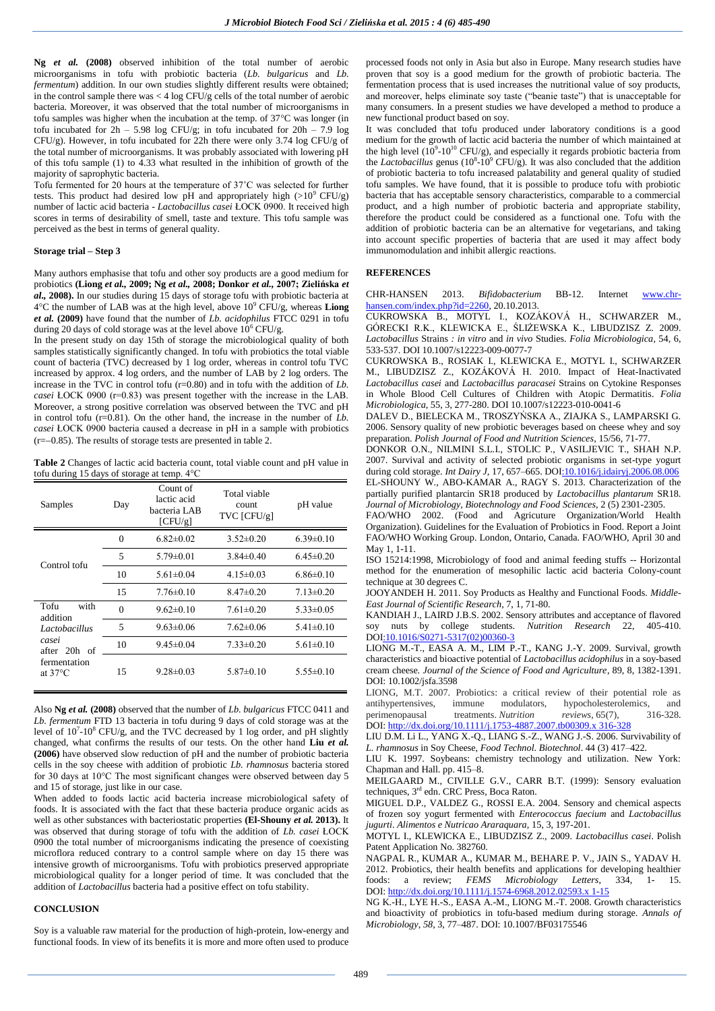**Ng** *et al.* **(2008)** observed inhibition of the total number of aerobic microorganisms in tofu with probiotic bacteria (*Lb. bulgaricus* and *Lb. fermentum*) addition. In our own studies slightly different results were obtained; in the control sample there was  $<$  4 log CFU/g cells of the total number of aerobic bacteria. Moreover, it was observed that the total number of microorganisms in tofu samples was higher when the incubation at the temp. of  $37^{\circ}$ C was longer (in tofu incubated for  $2h - 5.98$  log CFU/g; in tofu incubated for  $20h - 7.9$  log CFU/g). However, in tofu incubated for 22h there were only 3.74 log CFU/g of the total number of microorganisms. It was probably associated with lowering pH of this tofu sample (1) to 4.33 what resulted in the inhibition of growth of the majority of saprophytic bacteria.

Tofu fermented for 20 hours at the temperature of 37˚C was selected for further tests. This product had desired low pH and appropriately high ( $>10^9$  CFU/g) number of lactic acid bacteria - *Lactobacillus casei* ŁOCK 0900. It received high scores in terms of desirability of smell, taste and texture. This tofu sample was perceived as the best in terms of general quality.

## **Storage trial – Step 3**

Many authors emphasise that tofu and other soy products are a good medium for probiotics **(Liong** *et al.,* **2009; Ng** *et al.,* **2008; Donkor** *et al.,* **2007; Zielińska** *et al.,* **2008).** In our studies during 15 days of storage tofu with probiotic bacteria at  $4^{\circ}$ C the number of LAB was at the high level, above  $10^{\circ}$  CFU/g, whereas **Liong** *et al.* **(2009)** have found that the number of *Lb. acidophilus* FTCC 0291 in tofu during 20 days of cold storage was at the level above  $10^6$  CFU/g.

In the present study on day 15th of storage the microbiological quality of both samples statistically significantly changed. In tofu with probiotics the total viable count of bacteria (TVC) decreased by 1 log order, whereas in control tofu TVC increased by approx. 4 log orders, and the number of LAB by 2 log orders. The increase in the TVC in control tofu (r=0.80) and in tofu with the addition of *Lb. casei* ŁOCK 0900 (r=0.83) was present together with the increase in the LAB. Moreover, a strong positive correlation was observed between the TVC and pH in control tofu (r=0.81). On the other hand, the increase in the number of *Lb. casei* ŁOCK 0900 bacteria caused a decrease in pH in a sample with probiotics  $(r=-0.85)$ . The results of storage tests are presented in table 2.

**Table 2** Changes of lactic acid bacteria count, total viable count and pH value in tofu during 15 days of storage at temp. 4°C

| Samples                           | Day      | Count of<br>lactic acid<br>bacteria LAB<br>[CFU/g] | Total viable<br>count<br>TVC [CFU/g] | pH value        |
|-----------------------------------|----------|----------------------------------------------------|--------------------------------------|-----------------|
|                                   | $\theta$ | $6.82\pm0.02$                                      | $3.52 \pm 0.20$                      | $6.39\pm0.10$   |
| Control tofu                      | 5        | $5.79 \pm 0.01$                                    | $3.84\pm0.40$                        | $6.45\pm0.20$   |
|                                   | 10       | $5.61 \pm 0.04$                                    | $4.15 \pm 0.03$                      | $6.86\pm0.10$   |
|                                   | 15       | $7.76\pm0.10$                                      | $8.47\pm0.20$                        | $7.13 \pm 0.20$ |
| with<br>Tofu<br>addition          | $\Omega$ | $9.62 \pm 0.10$                                    | $7.61 \pm 0.20$                      | $5.33 \pm 0.05$ |
| Lactobacillus                     | 5        | $9.63 \pm 0.06$                                    | $7.62 \pm 0.06$                      | $5.41 \pm 0.10$ |
| casei<br>after 20h of             | 10       | $9.45 \pm 0.04$                                    | $7.33 \pm 0.20$                      | $5.61 \pm 0.10$ |
| fermentation<br>at $37^{\circ}$ C | 15       | $9.28 \pm 0.03$                                    | $5.87\pm0.10$                        | $5.55 \pm 0.10$ |

Also **Ng** *et al.* **(2008)** observed that the number of *Lb. bulgaricus* FTCC 0411 and *Lb. fermentum* FTD 13 bacteria in tofu during 9 days of cold storage was at the level of  $10^7$ - $10^8$  CFU/g, and the TVC decreased by 1 log order, and pH slightly changed, what confirms the results of our tests. On the other hand **Liu** *et al.* **(2006)** have observed slow reduction of pH and the number of probiotic bacteria cells in the soy cheese with addition of probiotic *Lb. rhamnosus* bacteria stored for 30 days at 10°C The most significant changes were observed between day 5 and 15 of storage, just like in our case.

When added to foods lactic acid bacteria increase microbiological safety of foods. It is associated with the fact that these bacteria produce organic acids as well as other substances with bacteriostatic properties **(El-Shouny** *et al.* **2013).** It was observed that during storage of tofu with the addition of *Lb. casei* ŁOCK 0900 the total number of microorganisms indicating the presence of coexisting microflora reduced contrary to a control sample where on day 15 there was intensive growth of microorganisms. Tofu with probiotics preserved appropriate microbiological quality for a longer period of time. It was concluded that the addition of *Lactobacillus* bacteria had a positive effect on tofu stability.

## **CONCLUSION**

Soy is a valuable raw material for the production of high-protein, low-energy and functional foods. In view of its benefits it is more and more often used to produce processed foods not only in Asia but also in Europe. Many research studies have proven that soy is a good medium for the growth of probiotic bacteria. The fermentation process that is used increases the nutritional value of soy products, and moreover, helps eliminate soy taste ("beanie taste") that is unacceptable for many consumers. In a present studies we have developed a method to produce a new functional product based on soy.

It was concluded that tofu produced under laboratory conditions is a good medium for the growth of lactic acid bacteria the number of which maintained at the high level  $(10^9 \text{-} 10^{10} \text{ CFU/g})$ , and especially it regards probiotic bacteria from the *Lactobacillus* genus  $(10^8 \text{-} 10^9 \text{ CFU/g})$ . It was also concluded that the addition of probiotic bacteria to tofu increased palatability and general quality of studied tofu samples. We have found, that it is possible to produce tofu with probiotic bacteria that has acceptable sensory characteristics, comparable to a commercial product, and a high number of probiotic bacteria and appropriate stability, therefore the product could be considered as a functional one. Tofu with the addition of probiotic bacteria can be an alternative for vegetarians, and taking into account specific properties of bacteria that are used it may affect body immunomodulation and inhibit allergic reactions.

# **REFERENCES**

CHR-HANSEN 2013. *Bifidobacterium* BB-12. Internet [www.chr](http://www.chr-hansen.com/index.php?id=2260)[hansen.com/index.php?id=2260,](http://www.chr-hansen.com/index.php?id=2260) 20.10.2013.

CUKROWSKA B., MOTYL I., KOZÁKOVÁ H., SCHWARZER M., GÓRECKI R.K., KLEWICKA E., ŚLIŻEWSKA K., LIBUDZISZ Z. 2009. *Lactobacillus* Strains *: in vitro* and *in vivo* Studies. *Folia Microbiologica*, 54, 6, 533-537. DOI 10.1007/s12223-009-0077-7

CUKROWSKA B., ROSIAK I., KLEWICKA E., MOTYL I., SCHWARZER M., LIBUDZISZ Z., KOZÁKOVÁ H. 2010. Impact of Heat-Inactivated *Lactobacillus casei* and *Lactobacillus paracasei* Strains on Cytokine Responses in Whole Blood Cell Cultures of Children with Atopic Dermatitis. *Folia Microbiologica*, 55, 3, 277-280. DOI 10.1007/s12223-010-0041-6

DALEV D., BIELECKA M., TROSZYŃSKA A., ZIAJKA S., LAMPARSKI G. 2006. Sensory quality of new probiotic beverages based on cheese whey and soy preparation. *Polish Journal of Food and Nutrition Sciences*, 15/56, 71-77.

DONKOR O.N., NILMINI S.L.I., STOLIC P., VASILJEVIC T., SHAH N.P. 2007. Survival and activity of selected probiotic organisms in set-type yogurt during cold storage. *Int Dairy J,* 17, 657–665. [DOI:10.1016/j.idairyj.2006.08.006](http://dx.doi.org/10.1016/j.idairyj.2006.08.006) EL-SHOUNY W., ABO-KAMAR A., RAGY S. 2013. Characterization of the partially purified plantarcin SR18 produced by *Lactobacillus plantarum* SR18.

*Journal of Microbiology, Biotechnology and Food Sciences*, 2 (5) 2301-2305. FAO/WHO 2002. (Food and Agricuture Organization/World Health

Organization). Guidelines for the Evaluation of Probiotics in Food. Report a Joint FAO/WHO Working Group. London, Ontario, Canada. FAO/WHO, April 30 and May 1, 1-11.

ISO 15214:1998, Microbiology of food and animal feeding stuffs -- Horizontal method for the enumeration of mesophilic lactic acid bacteria Colony-count technique at 30 degrees C.

JOOYANDEH H. 2011. Soy Products as Healthy and Functional Foods. *Middle-East Journal of Scientific Research*, 7, 1, 71-80.

KANDIAH J., LAIRD J.B.S. 2002. Sensory attributes and acceptance of flavored soy nuts by college students. *Nutrition Research* 22, 405-410. [DOI:10.1016/S0271-5317\(02\)00360-3](http://dx.doi.org/10.1016/S0271-5317(02)00360-3)

LIONG M.-T., EASA A. M., LIM P.-T., KANG J.-Y. 2009. Survival, growth characteristics and bioactive potential of *Lactobacillus acidophilus* in a soy-based cream cheese*. Journal of the Science of Food and Agriculture*, 89, 8, 1382-1391. DOI: 10.1002/jsfa.3598

LIONG, M.T. 2007. Probiotics: a critical review of their potential role as antihypertensives, immune modulators, hypocholesterolemics, and<br>perimenopausal treatments. Nutrition reviews, 65(7), 316-328. treatments. *Nutrition* DOI: [http://dx.doi.org/10.1111/j.1753-4887.2007.tb00309.x](http://dx.doi.org/10.1111/j.1753-4887.2007.tb00309.x 316-328) 316-328

LIU D.M. Li L., YANG X.-Q., LIANG S.-Z., WANG J.-S. 2006. Survivability of *L. rhamnosus* in Soy Cheese, *Food Technol. Biotechnol*. 44 (3) 417–422.

LIU K. 1997. Soybeans: chemistry technology and utilization. New York: Chapman and Hall. pp. 415–8.

MEILGAARD M., CIVILLE G.V., CARR B.T. (1999): Sensory evaluation techniques, 3<sup>rd</sup> edn. CRC Press, Boca Raton.

MIGUEL D.P., VALDEZ G., ROSSI E.A. 2004. Sensory and chemical aspects of frozen soy yogurt fermented with *Enterococcus faecium* and *Lactobacillus jugurti*. *Alimentos e Nutricao Araraquara,* 15, 3, 197-201.

MOTYL I., KLEWICKA E., LIBUDZISZ Z., 2009. *Lactobacillus casei*. Polish Patent Application No. 382760.

NAGPAL R., KUMAR A., KUMAR M., BEHARE P. V., JAIN S., YADAV H. 2012. Probiotics, their health benefits and applications for developing healthier foods: a review; *FEMS Microbiology Letters*, 334*,* 1- 15. DOI: [http://dx.doi.org/10.1111/j.1574-6968.2012.02593.x](http://dx.doi.org/10.1111/j.1574-6968.2012.02593.x 1-15) 1-15

NG K.-H., LYE H.-S., EASA A.-M., LIONG M.-T. 2008. Growth characteristics and bioactivity of probiotics in tofu-based medium during storage. *Annals of Microbiology*, *58*, 3, 77–487. DOI: 10.1007/BF03175546